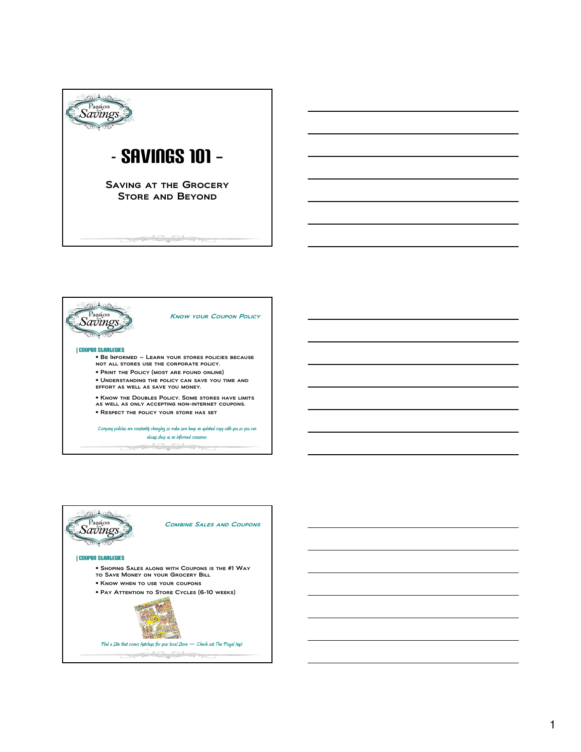



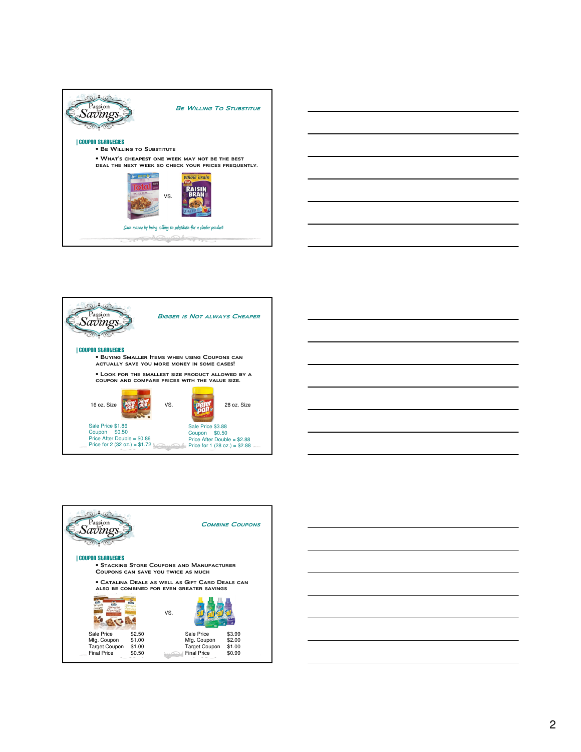









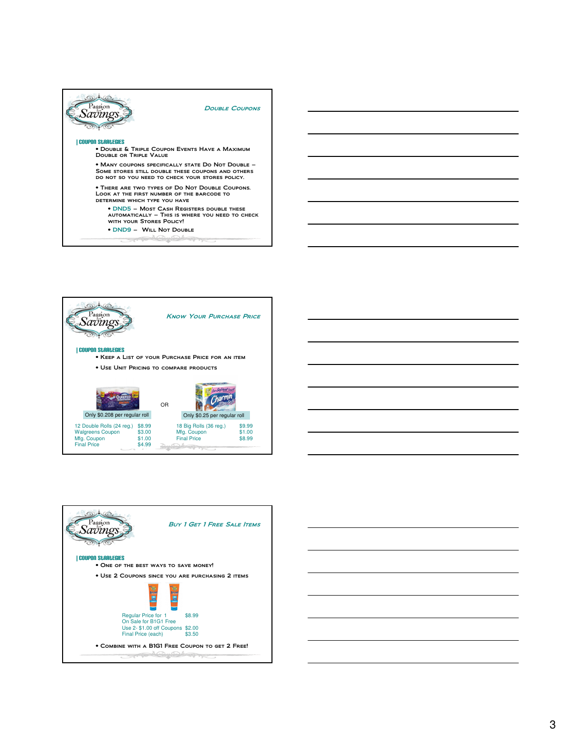







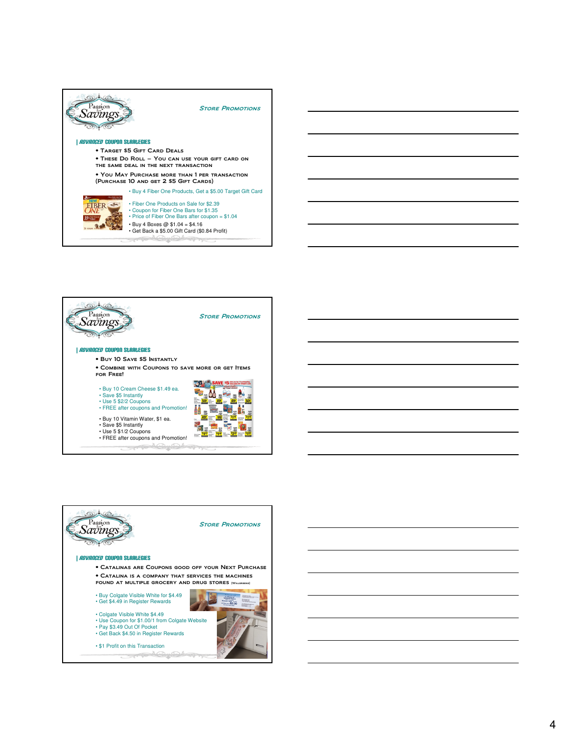



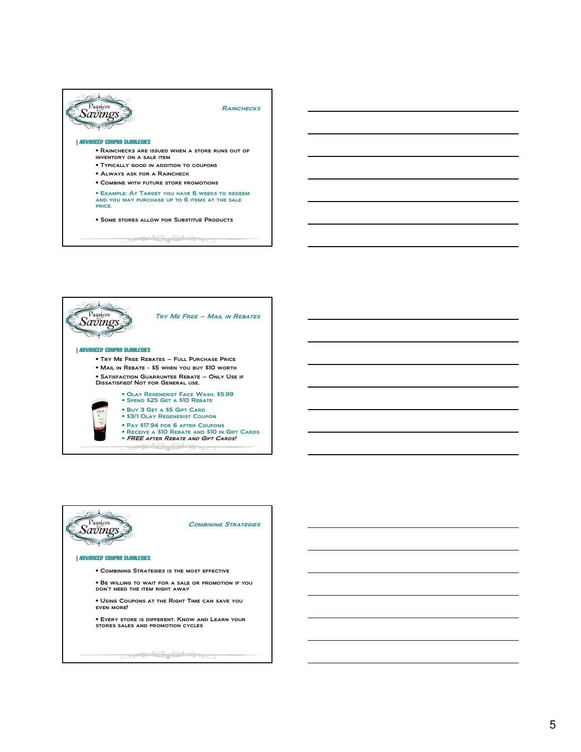